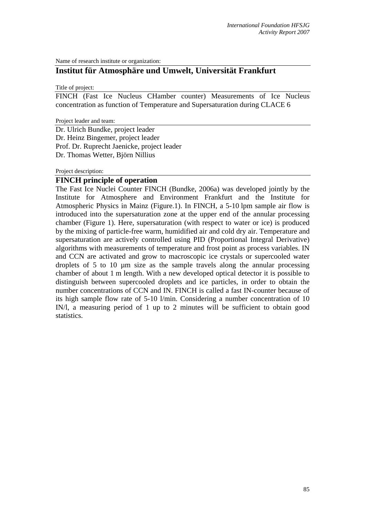Name of research institute or organization:

# **Institut für Atmosphäre und Umwelt, Universität Frankfurt**

Title of project:

FINCH (Fast Ice Nucleus CHamber counter) Measurements of Ice Nucleus concentration as function of Temperature and Supersaturation during CLACE 6

Project leader and team:

Dr. Ulrich Bundke, project leader Dr. Heinz Bingemer, project leader Prof. Dr. Ruprecht Jaenicke, project leader Dr. Thomas Wetter, Björn Nillius

Project description:

## **FINCH principle of operation**

The Fast Ice Nuclei Counter FINCH (Bundke, 2006a) was developed jointly by the Institute for Atmosphere and Environment Frankfurt and the Institute for Atmospheric Physics in Mainz (Figure.1). In FINCH, a 5-10 lpm sample air flow is introduced into the supersaturation zone at the upper end of the annular processing chamber (Figure 1). Here, supersaturation (with respect to water or ice) is produced by the mixing of particle-free warm, humidified air and cold dry air. Temperature and supersaturation are actively controlled using PID (Proportional Integral Derivative) algorithms with measurements of temperature and frost point as process variables. IN and CCN are activated and grow to macroscopic ice crystals or supercooled water droplets of 5 to 10 µm size as the sample travels along the annular processing chamber of about 1 m length. With a new developed optical detector it is possible to distinguish between supercooled droplets and ice particles, in order to obtain the number concentrations of CCN and IN. FINCH is called a fast IN-counter because of its high sample flow rate of 5-10 l/min. Considering a number concentration of 10 IN/l, a measuring period of 1 up to 2 minutes will be sufficient to obtain good statistics.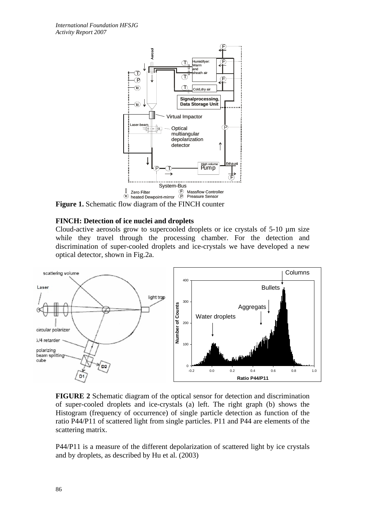

**Figure 1.** Schematic flow diagram of the FINCH counter

## **FINCH: Detection of ice nuclei and droplets**

Cloud-active aerosols grow to supercooled droplets or ice crystals of  $5-10 \mu m$  size while they travel through the processing chamber. For the detection and discrimination of super-cooled droplets and ice-crystals we have developed a new optical detector, shown in Fig.2a.



**FIGURE 2** Schematic diagram of the optical sensor for detection and discrimination of super-cooled droplets and ice-crystals (a) left. The right graph (b) shows the Histogram (frequency of occurrence) of single particle detection as function of the ratio P44/P11 of scattered light from single particles. P11 and P44 are elements of the scattering matrix.

P44/P11 is a measure of the different depolarization of scattered light by ice crystals and by droplets, as described by Hu et al. (2003)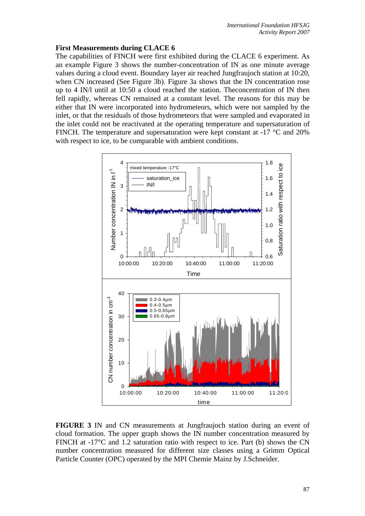# **First Measurements during CLACE 6**

The capabilities of FINCH were first exhibited during the CLACE 6 experiment. As an example Figure 3 shows the number-concentration of IN as one minute average values during a cloud event. Boundary layer air reached Jungfraujoch station at 10:20, when CN increased (See Figure 3b). Figure 3a shows that the IN concentration rose up to 4 IN/l until at 10:50 a cloud reached the station. Theconcentration of IN then fell rapidly, whereas CN remained at a constant level. The reasons for this may be either that IN were incorporated into hydrometeors, which were not sampled by the inlet, or that the residuals of those hydrometeors that were sampled and evaporated in the inlet could not be reactivated at the operating temperature and supersaturation of FINCH. The temperature and supersaturation were kept constant at -17 °C and 20% with respect to ice, to be comparable with ambient conditions.



**FIGURE 3** IN and CN measurements at Jungfraujoch station during an event of cloud formation. The upper graph shows the IN number concentration measured by FINCH at -17°C and 1.2 saturation ratio with respect to ice. Part (b) shows the CN number concentration measured for different size classes using a Grimm Optical Particle Counter (OPC) operated by the MPI Chemie Mainz by J.Schneider.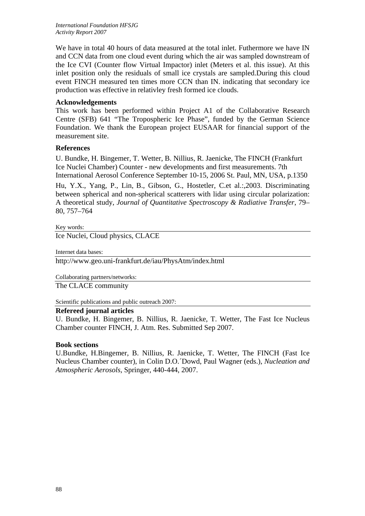*International Foundation HFSJG Activity Report 2007*

We have in total 40 hours of data measured at the total inlet. Futhermore we have IN and CCN data from one cloud event during which the air was sampled downstream of the Ice CVI (Counter flow Virtual Impactor) inlet (Meters et al. this issue). At this inlet position only the residuals of small ice crystals are sampled.During this cloud event FINCH measured ten times more CCN than IN. indicating that secondary ice production was effective in relativley fresh formed ice clouds.

# **Acknowledgements**

This work has been performed within Project A1 of the Collaborative Research Centre (SFB) 641 "The Tropospheric Ice Phase", funded by the German Science Foundation. We thank the European project EUSAAR for financial support of the measurement site.

## **References**

U. Bundke, H. Bingemer, T. Wetter, B. Nillius, R. Jaenicke, The FINCH (Frankfurt Ice Nuclei Chamber) Counter - new developments and first measurements. 7th International Aerosol Conference September 10-15, 2006 St. Paul, MN, USA, p.1350

Hu, Y.X., Yang, P., Lin, B., Gibson, G., Hostetler, C.et al.:,2003. Discriminating between spherical and non-spherical scatterers with lidar using circular polarization: A theoretical study, *Journal of Quantitative Spectroscopy & Radiative Transfer*, 79– 80, 757–764

#### Key words:

Ice Nuclei, Cloud physics, CLACE

Internet data bases:

http://www.geo.uni-frankfurt.de/iau/PhysAtm/index.html

Collaborating partners/networks:

The CLACE community

Scientific publications and public outreach 2007:

## **Refereed journal articles**

U. Bundke, H. Bingemer, B. Nillius, R. Jaenicke, T. Wetter, The Fast Ice Nucleus Chamber counter FINCH, J. Atm. Res. Submitted Sep 2007.

#### **Book sections**

U.Bundke, H.Bingemer, B. Nillius, R. Jaenicke, T. Wetter, The FINCH (Fast Ice Nucleus Chamber counter), in Colin D.O.´Dowd, Paul Wagner (eds.), *Nucleation and Atmospheric Aerosols*, Springer, 440-444, 2007.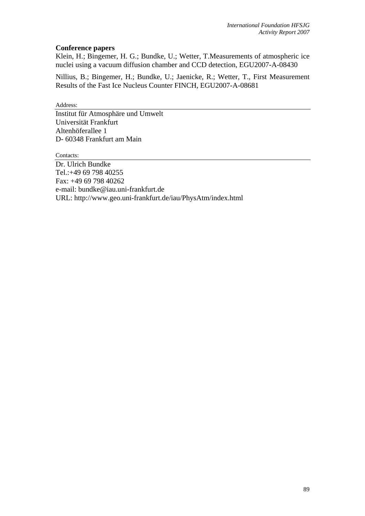# **Conference papers**

Klein, H.; Bingemer, H. G.; Bundke, U.; Wetter, T.Measurements of atmospheric ice nuclei using a vacuum diffusion chamber and CCD detection, EGU2007-A-08430

Nillius, B.; Bingemer, H.; Bundke, U.; Jaenicke, R.; Wetter, T., First Measurement Results of the Fast Ice Nucleus Counter FINCH, EGU2007-A-08681

Address:

Institut für Atmosphäre und Umwelt Universität Frankfurt Altenhöferallee 1 D- 60348 Frankfurt am Main

Contacts:

Dr. Ulrich Bundke Tel.:+49 69 798 40255 Fax: +49 69 798 40262 e-mail: bundke@iau.uni-frankfurt.de URL: http://www.geo.uni-frankfurt.de/iau/PhysAtm/index.html